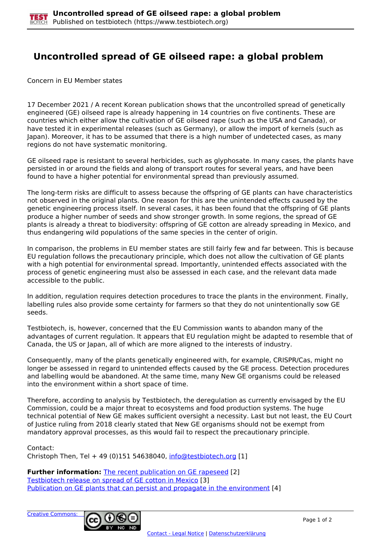## **Uncontrolled spread of GE oilseed rape: a global problem**

Concern in EU Member states

17 December 2021 / A recent Korean publication shows that the uncontrolled spread of genetically engineered (GE) oilseed rape is already happening in 14 countries on five continents. These are countries which either allow the cultivation of GE oilseed rape (such as the USA and Canada), or have tested it in experimental releases (such as Germany), or allow the import of kernels (such as Japan). Moreover, it has to be assumed that there is a high number of undetected cases, as many regions do not have systematic monitoring.

GE oilseed rape is resistant to several herbicides, such as glyphosate. In many cases, the plants have persisted in or around the fields and along of transport routes for several years, and have been found to have a higher potential for environmental spread than previously assumed.

The long-term risks are difficult to assess because the offspring of GE plants can have characteristics not observed in the original plants. One reason for this are the unintended effects caused by the genetic engineering process itself. In several cases, it has been found that the offspring of GE plants produce a higher number of seeds and show stronger growth. In some regions, the spread of GE plants is already a threat to biodiversity: offspring of GE cotton are already spreading in Mexico, and thus endangering wild populations of the same species in the center of origin.

In comparison, the problems in EU member states are still fairly few and far between. This is because EU regulation follows the precautionary principle, which does not allow the cultivation of GE plants with a high potential for environmental spread. Importantly, unintended effects associated with the process of genetic engineering must also be assessed in each case, and the relevant data made accessible to the public.

In addition, regulation requires detection procedures to trace the plants in the environment. Finally, labelling rules also provide some certainty for farmers so that they do not unintentionally sow GE seeds.

Testbiotech, is, however, concerned that the EU Commission wants to abandon many of the advantages of current regulation. It appears that EU regulation might be adapted to resemble that of Canada, the US or Japan, all of which are more aligned to the interests of industry.

Consequently, many of the plants genetically engineered with, for example, CRISPR/Cas, might no longer be assessed in regard to unintended effects caused by the GE process. Detection procedures and labelling would be abandoned. At the same time, many New GE organisms could be released into the environment within a short space of time.

Therefore, according to analysis by Testbiotech, the deregulation as currently envisaged by the EU Commission, could be a major threat to ecosystems and food production systems. The huge technical potential of New GE makes sufficient oversight a necessity. Last but not least, the EU Court of Justice ruling from 2018 clearly stated that New GE organisms should not be exempt from mandatory approval processes, as this would fail to respect the precautionary principle.

Contact:

Christoph Then, Tel + 49 (0)151 54638040, [info@testbiotech.org](mailto:info@testbiotech.org) [1]

**Further information:** The recent publication on GE rapeseed [2] Testbiotech release on spread of GE cotton in Mexico [3] Publication on GE plants that can persist and propagate in the environment [4]